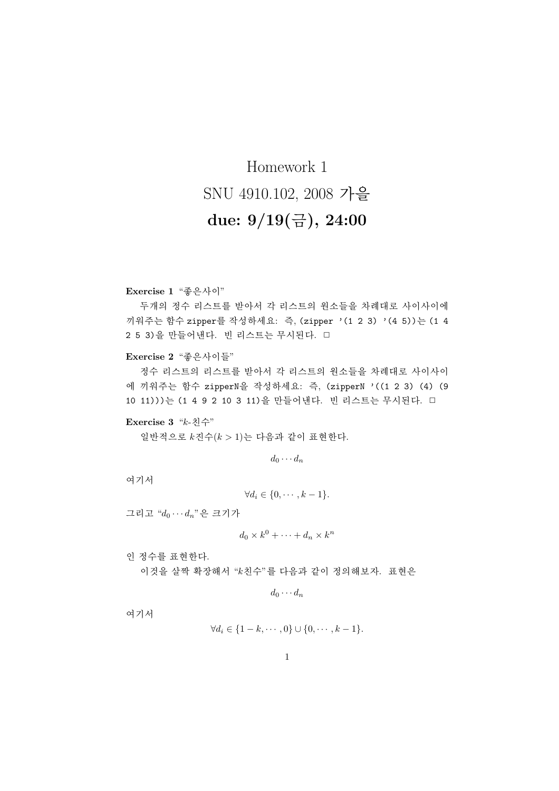## Homework 1 SNU 4910.102, 2008 가을 due:  $9/19(\frac{11}{12}), 24:00$

Exercise 1 "좋은사이"

두개의 정수 리스트를 받아서 각 리스트의 원소들을 차례대로 사이사이에 끼워주는 함수 zipper를 작성하세요: 즉, (zipper '(1 2 3) '(4 5))는 (1 4 2 5 3)을 만들어낸다. 빈 리스트는 무시된다. 口

Exercise 2 "좋은사이들"

정수 리스트의 리스트를 받아서 각 리스트의 원소들을 차례대로 사이사이 에 끼워주는 함수 zipperN을 작성하세요: 즉, (zipperN '((1 2 3) (4) (9 10 11)))는 (1 4 9 2 10 3 11)을 만들어낸다. 빈 리스트는 무시된다. □

## Exercise 3 "k-친수"

일반적으로  $k$ 진수 $(k > 1)$ 는 다음과 같이 표현한다.

 $d_0 \cdots d_n$ 

여기서

$$
\forall d_i \in \{0, \cdots, k-1\}.
$$

그리고 " $d_0 \cdots d_n$ "은 크기가

$$
d_0 \times k^0 + \dots + d_n \times k^n
$$

인 정수를 표현한다.

이것을 살짝 확장해서 "k친수"를 다음과 같이 정의해보자. 표현은

$$
d_0\cdots d_n
$$

여기서

$$
\forall d_i \in \{1-k, \cdots, 0\} \cup \{0, \cdots, k-1\}.
$$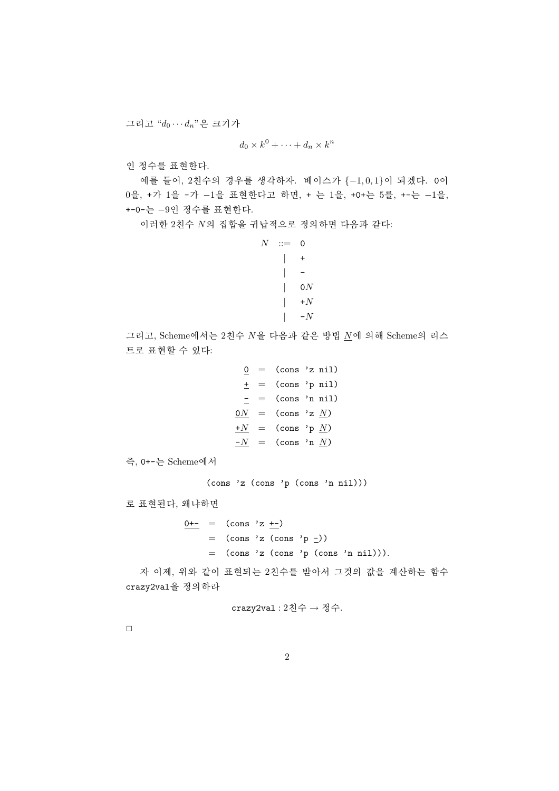그리고 " $d_0 \cdots d_n$ "은 크기가

 $d_0 \times k^0 + \cdots + d_n \times k^n$ 

인 정수를 표현한다.

예를 들어, 2친수의 경우를 생각하자. 베이스가 {-1,0,1}이 되겠다. 0이 0을, +가 1을 -가 -1을 표현한다고 하면, + 는 1을, +0+는 5를, +-는 -1을, +-0-는 -9인 정수를 표현한다.

이러한 2친수 N의 집합을 귀납적으로 정의하면 다음과 같다:

```
N ::= 0
     \vert +\left| \cdot \right|\vert 0N
     |\quad +N\vert -N
```
그리고, Scheme에서는 2친수 N을 다음과 같은 방법 N에 의해 Scheme의 리스 트로 표현할 수 있다:

```
0 = (cons 'z nil)\pm = (cons 'p nil)
 = = (cons 'n nil)
0N = (\text{cons } 'z N)+N = (\text{cons } 'p N)\frac{-N}{N} = (cons 'n <u>N</u>)
```
즉, 0+-는 Scheme에서

(cons 'z (cons 'p (cons 'n nil)))

로 표현된다, 왜냐하면

 $0+-$  = (cons 'z  $+-$ )  $=$  (cons 'z (cons 'p  $=$ ))  $=$  (cons 'z (cons 'p (cons 'n nil))).

자 이제, 위와 같이 표현되는 2치수를 받아서 그것의 값을 계사하는 함수 crazy2val을 정의하라

crazy2val : 2친수 → 정수.

 $\Box$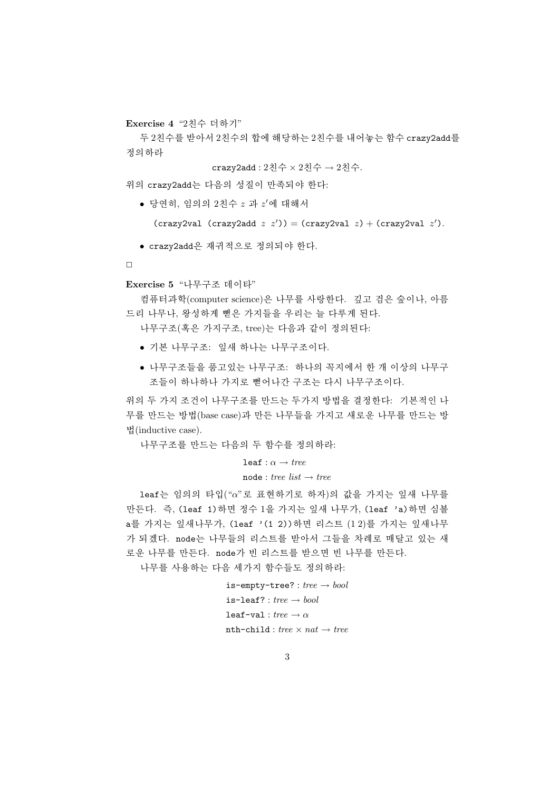Exercise 4 "2친수 더하기"

두 2친수를 받아서 2친수의 합에 해당하는 2친수를 내어놓는 함수 crazy2add를 정의하라

crazy2add : 2친수 × 2친수 → 2친수.

위의 crazy2add는 다음의 성질이 만족되야 한다:

 $\bullet$  당연히, 임의의 2친수  $z$  과  $z'$ 에 대해서

(crazy2val (crazy2add  $z$   $z'$ )) = (crazy2val  $z$ ) + (crazy2val  $z'$ ).

• crazy2add은 재귀적으로 정의되야 한다.

 $\Box$ 

Exercise 5 "나무구조 데이타"

컴퓨터과학(computer science)은 나무를 사랑한다. 깊고 검은 숲이나, 아름 드리 나무나. 왕성하게 뻗은 가지들을 우리는 늘 다루게 된다.

나무구조(혹은 가지구조, tree)는 다음과 같이 정의된다:

- 기본 나무구조: 잎새 하나는 나무구조이다.
- 나무구조들을 품고있는 나무구조: 하나의 꼭지에서 한 개 이상의 나무구 조들이 하나하나 가지로 뻗어나간 구조는 다시 나무구조이다.

위의 두 가지 조건이 나무구조를 만드는 두가지 방법을 결정한다: 기본적인 나 무를 만드는 방법(base case)과 만든 나무들을 가지고 새로운 나무를 만드는 방 법(inductive case).

나무구조를 만드는 다음의 두 함수를 정의하라:

```
leaf: \alpha \rightarrow tree
```
## $node : tree list \rightarrow tree$

leaf는 임의의 타입("α"로 표현하기로 하자)의 값을 가지는 잎새 나무를 만든다. 즉, (leaf 1) 하면 정수 1을 가지는 잎새 나무가, (leaf 'a) 하면 심볼 a를 가지는 잎새나무가, (leaf '(1 2))하면 리스트 (12)를 가지는 잎새나무 가 되겠다. node는 나무들의 리스트를 받아서 그들을 차례로 매달고 있는 새 로운 나무를 만든다. node가 빈 리스트를 받으면 빈 나무를 만든다.

나무를 사용하는 다음 세가지 함수들도 정의하라:

```
is-empty-tree?: tree \rightarrow bool\mathtt{is}\text{-}\mathtt{leaf}? : \mathit{tree} \rightarrow \mathit{bool}leaf-val: tree \rightarrow \alphanth-child : tree \times nat \rightarrow tree
```